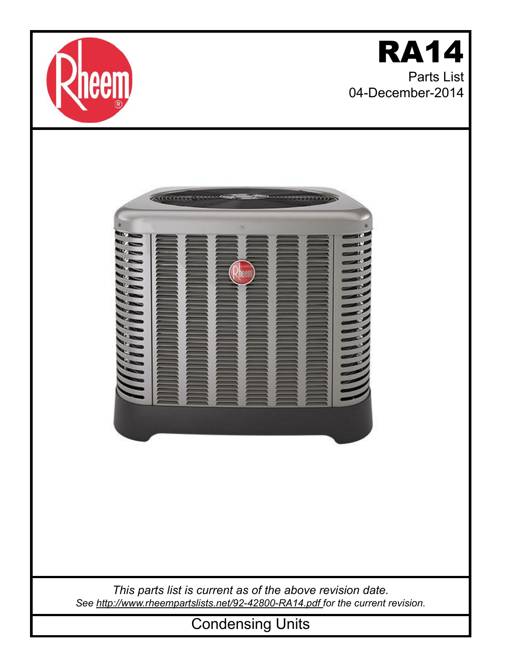

## RA14 Parts List 04-December-2014



*This parts list is current as of the above revision date. See [http://www.rheempartslists.net/92-42800-RA14.pdf f](http://www.rheempartslists.net/92-42800-RA14.pdf)or the current revision.*

Condensing Units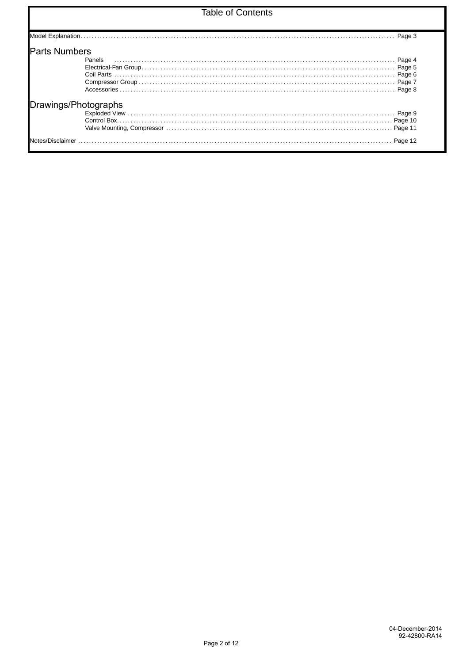## **Table of Contents**

| <b>Parts Numbers</b> |                      |  |
|----------------------|----------------------|--|
|                      | Panels               |  |
|                      |                      |  |
|                      |                      |  |
|                      |                      |  |
|                      |                      |  |
|                      | Drawings/Photographs |  |
|                      |                      |  |
|                      |                      |  |
|                      |                      |  |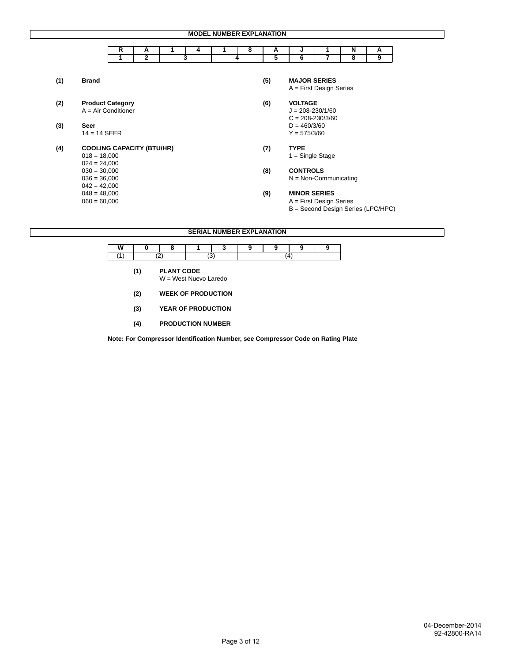|     |                                  |   |                |   |   | <b>MODEL NUMBER EXPLANATION</b> |                      |                           |   |                                    |
|-----|----------------------------------|---|----------------|---|---|---------------------------------|----------------------|---------------------------|---|------------------------------------|
|     |                                  | R | A              | 4 | 8 | A                               | J                    |                           | N | Α                                  |
|     |                                  | 1 | $\overline{2}$ | 3 | 4 | 5                               | 6                    | 7                         | 8 | 9                                  |
|     |                                  |   |                |   |   |                                 |                      |                           |   |                                    |
| (1) | <b>Brand</b>                     |   |                |   |   | (5)                             | <b>MAJOR SERIES</b>  |                           |   |                                    |
|     |                                  |   |                |   |   |                                 |                      | $A =$ First Design Series |   |                                    |
| (2) | <b>Product Category</b>          |   |                |   |   | (6)                             | <b>VOLTAGE</b>       |                           |   |                                    |
|     | $A = Air Conditioner$            |   |                |   |   |                                 | $J = 208 - 230/1/60$ |                           |   |                                    |
|     |                                  |   |                |   |   |                                 | $C = 208 - 230/3/60$ |                           |   |                                    |
| (3) | Seer                             |   |                |   |   |                                 | $D = 460/3/60$       |                           |   |                                    |
|     | $14 = 14$ SEER                   |   |                |   |   |                                 | $Y = 575/3/60$       |                           |   |                                    |
| (4) | <b>COOLING CAPACITY (BTU/HR)</b> |   |                |   |   | (7)                             | <b>TYPE</b>          |                           |   |                                    |
|     | $018 = 18,000$                   |   |                |   |   |                                 | $1 =$ Single Stage   |                           |   |                                    |
|     | $024 = 24,000$                   |   |                |   |   |                                 |                      |                           |   |                                    |
|     | $030 = 30,000$                   |   |                |   |   | (8)                             | <b>CONTROLS</b>      |                           |   |                                    |
|     | $036 = 36,000$                   |   |                |   |   |                                 |                      | $N = Non-Communicip$      |   |                                    |
|     | $042 = 42,000$<br>$048 = 48,000$ |   |                |   |   |                                 | <b>MINOR SERIES</b>  |                           |   |                                    |
|     | $060 = 60,000$                   |   |                |   |   | (9)                             |                      | $A =$ First Design Series |   |                                    |
|     |                                  |   |                |   |   |                                 |                      |                           |   | B = Second Design Series (LPC/HPC) |

**SERIAL NUMBER EXPLANATION 1 W** | 0 | 8 | 1 | 3 | 9 | 9 | 9 | 9 |  $(1)$   $(2)$   $(3)$   $(4)$  **(1) PLANT CODE**  W = West Nuevo Laredo **(2) WEEK OF PRODUCTION (3) YEAR OF PRODUCTION**  $(4)$ **(4) PRODUCTION NUMBER**

 **Note: For Compressor Identification Number, see Compressor Code on Rating Plate**

┑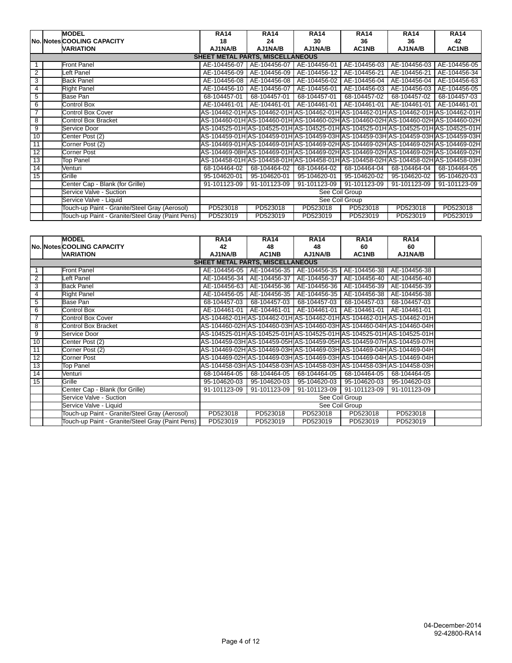|                 | <b>MODEL</b>                                     | <b>RA14</b>                             | <b>RA14</b>  | <b>RA14</b>  | <b>RA14</b>               | <b>RA14</b>  | <b>RA14</b>                                                                          |  |
|-----------------|--------------------------------------------------|-----------------------------------------|--------------|--------------|---------------------------|--------------|--------------------------------------------------------------------------------------|--|
|                 | No. Notes COOLING CAPACITY                       | 18                                      | 24           | 30           | 36                        | 36           | 42                                                                                   |  |
|                 | <b>VARIATION</b>                                 | AJ1NA/B                                 | AJ1NA/B      | AJ1NA/B      | AC1NB                     | AJ1NA/B      | AC1NB                                                                                |  |
|                 |                                                  | <b>SHEET METAL PARTS, MISCELLANEOUS</b> |              |              |                           |              |                                                                                      |  |
|                 | <b>Front Panel</b>                               | AE-104456-07                            | AE-104456-07 | AE-104456-01 | AE-104456-03              | AE-104456-03 | AE-104456-05                                                                         |  |
| 2               | Left Panel                                       | AE-104456-09                            | AE-104456-09 | AE-104456-12 | AE-104456-21              | AE-104456-21 | AE-104456-34                                                                         |  |
| 3               | <b>Back Panel</b>                                | AE-104456-08                            | AE-104456-08 | AE-104456-02 | AE-104456-04              | AE-104456-04 | AE-104456-63                                                                         |  |
| 4               | <b>Right Panel</b>                               | AE-104456-10                            | AE-104456-07 | AE-104456-01 | AE-104456-03              | AE-104456-03 | AE-104456-05                                                                         |  |
| 5               | Base Pan                                         | 68-104457-01                            | 68-104457-01 | 68-104457-01 | 68-104457-02              | 68-104457-02 | 68-104457-03                                                                         |  |
| 6               | <b>Control Box</b>                               | AE-104461-01                            | AE-104461-01 | AE-104461-01 | AE-104461-01              | AE-104461-01 | AE-104461-01                                                                         |  |
| $\overline{7}$  | <b>Control Box Cover</b>                         |                                         |              |              |                           |              | AS-104462-01HlAS-104462-01HlAS-104462-01HlAS-104462-01HlAS-104462-01HlAS-104462-01Hl |  |
| 8               | Control Box Bracket                              |                                         |              |              |                           |              | AS-104460-01H AS-104460-01H AS-104460-02H AS-104460-02H AS-104460-02H AS-104460-02H  |  |
| 9               | Service Door                                     |                                         |              |              |                           |              | AS-104525-01H AS-104525-01H AS-104525-01H AS-104525-01H AS-104525-01H AS-104525-01H  |  |
| 10              | Center Post (2)                                  |                                         |              |              |                           |              | AS-104459-01H AS-104459-01H AS-104459-03H AS-104459-03H AS-104459-03H AS-104459-03H  |  |
| 11              | Corner Post (2)                                  |                                         |              |              |                           |              | AS-104469-01H AS-104469-01H AS-104469-02H AS-104469-02H AS-104469-02H AS-104469-02H  |  |
| $\overline{12}$ | <b>Corner Post</b>                               |                                         |              |              |                           |              | AS-104469-08HIAS-104469-01HIAS-104469-02HIAS-104469-02HIAS-104469-02HIAS-104469-02HI |  |
| 13              | <b>Top Panel</b>                                 |                                         |              |              |                           |              | AS-104458-01HIAS-104458-01HIAS-104458-01HIAS-104458-02HIAS-104458-02HIAS-104458-03HI |  |
| 14              | Venturi                                          | 68-104464-02                            | 68-104464-02 | 68-104464-02 | 68-104464-04              | 68-104464-04 | 68-104464-05                                                                         |  |
| 15              | Grille                                           | 95-104620-01                            | 95-104620-01 | 95-104620-01 | 95-104620-02              | 95-104620-02 | 95-104620-03                                                                         |  |
|                 | Center Cap - Blank (for Grille)                  | 91-101123-09                            | 91-101123-09 | 91-101123-09 | $\overline{91-101123-09}$ | 91-101123-09 | 91-101123-09                                                                         |  |
|                 | Service Valve - Suction                          | See Coil Group                          |              |              |                           |              |                                                                                      |  |
|                 | Service Valve - Liquid                           | See Coil Group                          |              |              |                           |              |                                                                                      |  |
|                 | Touch-up Paint - Granite/Steel Gray (Aerosol)    | PD523018                                | PD523018     | PD523018     | PD523018                  | PD523018     | PD523018                                                                             |  |
|                 | Touch-up Paint - Granite/Steel Gray (Paint Pens) | PD523019                                | PD523019     | PD523019     | PD523019                  | PD523019     | PD523019                                                                             |  |

|                | <b>MODEL</b>                                     | <b>RA14</b>                             | <b>RA14</b>                                                            | <b>RA14</b>                            | <b>RA14</b>  | <b>RA14</b>  |  |
|----------------|--------------------------------------------------|-----------------------------------------|------------------------------------------------------------------------|----------------------------------------|--------------|--------------|--|
|                | <b>No. Notes COOLING CAPACITY</b>                | 42                                      | 48                                                                     | 48                                     | 60           | 60           |  |
|                | <b>VARIATION</b>                                 | AJ1NA/B                                 | AC1NB                                                                  | AJ1NA/B                                | AC1NB        | AJ1NA/B      |  |
|                |                                                  | <b>SHEET METAL PARTS, MISCELLANEOUS</b> |                                                                        |                                        |              |              |  |
|                | <b>Front Panel</b>                               |                                         | AE-104456-05   AE-104456-35   AE-104456-35                             |                                        | AE-104456-38 | AE-104456-38 |  |
| $\overline{2}$ | eft Panel                                        |                                         | AE-104456-34   AE-104456-37                                            | AE-104456-37                           | AE-104456-40 | AE-104456-40 |  |
| 3              | <b>Back Panel</b>                                | AE-104456-63                            | AE-104456-36                                                           | AE-104456-36                           | AE-104456-39 | AE-104456-39 |  |
| 4              | <b>Right Panel</b>                               |                                         | AE-104456-05   AE-104456-35   AE-104456-35   AE-104456-38              |                                        |              | AE-104456-38 |  |
| 5              | Base Pan                                         |                                         | 68-104457-03 68-104457-03                                              | 68-104457-03 68-104457-03              |              | 68-104457-03 |  |
| 6              | Control Box                                      |                                         | AE-104461-01   AE-104461-01   AE-104461-01   AE-104461-01              |                                        |              | AE-104461-01 |  |
| $\overline{7}$ | <b>Control Box Cover</b>                         |                                         | AS-104462-01H AS-104462-01H AS-104462-01H AS-104462-01H AS-104462-01H  |                                        |              |              |  |
| 8              | <b>Control Box Bracket</b>                       |                                         | AS-104460-02HIAS-104460-03HIAS-104460-03HIAS-104460-04HIAS-104460-04HI |                                        |              |              |  |
| 9              | Service Door                                     |                                         | AS-104525-01H AS-104525-01H AS-104525-01H AS-104525-01H AS-104525-01H  |                                        |              |              |  |
| 10             | Center Post (2)                                  |                                         | AS-104459-03HIAS-104459-05HIAS-104459-05HIAS-104459-07HIAS-104459-07HI |                                        |              |              |  |
| 11             | Corner Post (2)                                  |                                         | AS-104469-02HlAS-104469-03HlAS-104469-03HlAS-104469-04HlAS-104469-04Hl |                                        |              |              |  |
| 12             | Corner Post                                      |                                         | AS-104469-02H AS-104469-03H AS-104469-03H AS-104469-04H AS-104469-04H  |                                        |              |              |  |
| 13             | <b>Top Panel</b>                                 |                                         | AS-104458-03H AS-104458-03H AS-104458-03H AS-104458-03H AS-104458-03H  |                                        |              |              |  |
| 14             | Venturi                                          | 68-104464-05                            |                                                                        | 68-104464-05 68-104464-05 68-104464-05 |              | 68-104464-05 |  |
| 15             | Grille                                           | 95-104620-03                            | 95-104620-03                                                           | 95-104620-03                           | 95-104620-03 | 95-104620-03 |  |
|                | Center Cap - Blank (for Grille)                  | 91-101123-09                            | 91-101123-09                                                           | 91-101123-09                           | 91-101123-09 | 91-101123-09 |  |
|                | Service Valve - Suction                          | See Coil Group                          |                                                                        |                                        |              |              |  |
|                | Service Valve - Liquid                           | See Coil Group                          |                                                                        |                                        |              |              |  |
|                | Touch-up Paint - Granite/Steel Gray (Aerosol)    | PD523018                                | PD523018                                                               | PD523018                               | PD523018     | PD523018     |  |
|                | Touch-up Paint - Granite/Steel Gray (Paint Pens) | PD523019                                | PD523019                                                               | PD523019                               | PD523019     | PD523019     |  |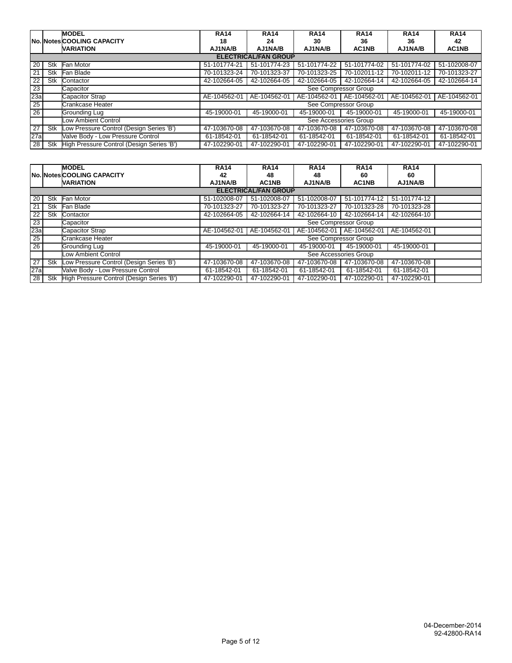|                 |     | <b>MODEL</b>                              | <b>RA14</b>  | <b>RA14</b>                 | <b>RA14</b>           | <b>RA14</b>  | <b>RA14</b>  | <b>RA14</b>  |
|-----------------|-----|-------------------------------------------|--------------|-----------------------------|-----------------------|--------------|--------------|--------------|
|                 |     | <b>No. Notes COOLING CAPACITY</b>         | 18           | 24                          | 30                    | 36           | 36           | 42           |
|                 |     | <b>VARIATION</b>                          | AJ1NA/B      | AJ1NA/B                     | AJ1NA/B               | AC1NB        | AJ1NA/B      | AC1NB        |
|                 |     |                                           |              | <b>ELECTRICAL/FAN GROUP</b> |                       |              |              |              |
| 20              | Stk | Fan Motor                                 | 51-101774-21 | 51-101774-23                | 51-101774-22          | 51-101774-02 | 51-101774-02 | 51-102008-07 |
| 21              | Stk | Fan Blade                                 | 70-101323-24 | 70-101323-37                | 70-101323-25          | 70-102011-12 | 70-102011-12 | 70-101323-27 |
| 22              | Stk | Contactor                                 | 42-102664-05 | 42-102664-05                | 42-102664-05          | 42-102664-14 | 42-102664-05 | 42-102664-14 |
| $\overline{23}$ |     | Capacitor                                 |              |                             | See Compressor Group  |              |              |              |
| 23a             |     | <b>Capacitor Strap</b>                    | AE-104562-01 | AE-104562-01                | AE-104562-01          | AE-104562-01 | AE-104562-01 | AE-104562-01 |
| 25              |     | Crankcase Heater                          |              |                             | See Compressor Group  |              |              |              |
| $\overline{26}$ |     | Grounding Lug                             | 45-19000-01  | 45-19000-01                 | 45-19000-01           | 45-19000-01  | 45-19000-01  | 45-19000-01  |
|                 |     | <b>Low Ambient Control</b>                |              |                             | See Accessories Group |              |              |              |
| 27              | Stk | Low Pressure Control (Design Series 'B')  | 47-103670-08 | 47-103670-08                | 47-103670-08          | 47-103670-08 | 47-103670-08 | 47-103670-08 |
| 27a             |     | Valve Body - Low Pressure Control         | 61-18542-01  | 61-18542-01                 | 61-18542-01           | 61-18542-01  | 61-18542-01  | 61-18542-01  |
| 28              | Stk | High Pressure Control (Design Series 'B') | 47-102290-01 | 47-102290-01                | 47-102290-01          | 47-102290-01 | 47-102290-01 | 47-102290-01 |

|                 |     | <b>MODEL</b>                              | <b>RA14</b>           | <b>RA14</b>                 | <b>RA14</b>  | <b>RA14</b>                 | <b>RA14</b>  |  |
|-----------------|-----|-------------------------------------------|-----------------------|-----------------------------|--------------|-----------------------------|--------------|--|
|                 |     |                                           |                       |                             |              |                             |              |  |
|                 |     | <b>No. Notes COOLING CAPACITY</b>         | 42                    | 48                          | 48           | 60                          | 60           |  |
|                 |     | <b>VARIATION</b>                          | AJ1NA/B               | AC1NB                       | AJ1NA/B      | AC1NB                       | AJ1NA/B      |  |
|                 |     |                                           |                       | <b>ELECTRICAL/FAN GROUP</b> |              |                             |              |  |
| 20              | Stk | Fan Motor                                 | 51-102008-07          | 51-102008-07                | 51-102008-07 | 51-101774-12                | 51-101774-12 |  |
| 21              | Stk | Fan Blade                                 | 70-101323-27          | 70-101323-27                | 70-101323-27 | 70-101323-28                | 70-101323-28 |  |
| $\overline{22}$ | Stk | Contactor                                 | 42-102664-05          | 42-102664-14                | 42-102664-10 | 42-102664-14                | 42-102664-10 |  |
| $\overline{23}$ |     | Capacitor                                 |                       |                             |              | See Compressor Group        |              |  |
| 23a             |     | Capacitor Strap                           | AE-104562-01          | AE-104562-01                |              | AE-104562-01   AE-104562-01 | AE-104562-01 |  |
| 25              |     | Crankcase Heater                          |                       |                             |              | See Compressor Group        |              |  |
| $\overline{26}$ |     | Grounding Lug                             | 45-19000-01           | 45-19000-01                 | 45-19000-01  | 45-19000-01                 | 45-19000-01  |  |
|                 |     | Low Ambient Control                       | See Accessories Group |                             |              |                             |              |  |
| 27              | Stk | Low Pressure Control (Design Series 'B')  | 47-103670-08          | 47-103670-08                | 47-103670-08 | 47-103670-08                | 47-103670-08 |  |
| 27a             |     | Valve Body - Low Pressure Control         | 61-18542-01           | 61-18542-01                 | 61-18542-01  | 61-18542-01                 | 61-18542-01  |  |
| 28              | Stk | High Pressure Control (Design Series 'B') | 47-102290-01          | 47-102290-01                | 47-102290-01 | 47-102290-01                | 47-102290-01 |  |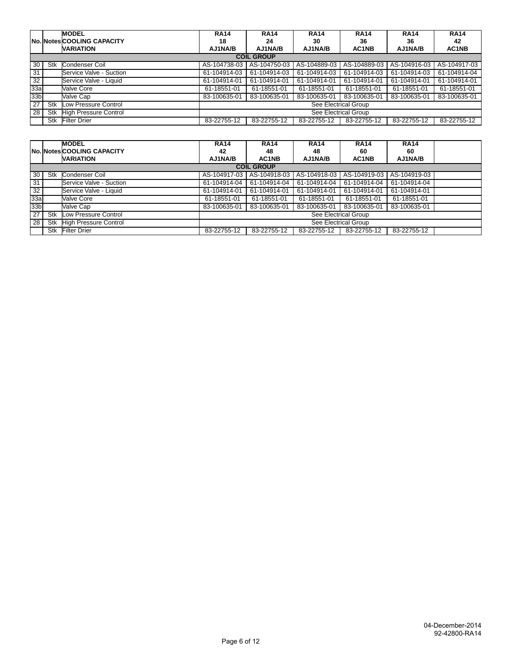|                 |     | <b>MODEL</b>                      | <b>RA14</b>          | <b>RA14</b>       | <b>RA14</b>  | <b>RA14</b>          | <b>RA14</b>    | <b>RA14</b>  |
|-----------------|-----|-----------------------------------|----------------------|-------------------|--------------|----------------------|----------------|--------------|
|                 |     | <b>No. Notes COOLING CAPACITY</b> | 18                   | 24                | 30           | 36                   | 36             | 42           |
|                 |     | <b>VARIATION</b>                  | AJ1NA/B              | AJ1NA/B           | AJ1NA/B      | AC1NB                | <b>AJ1NA/B</b> | AC1NB        |
|                 |     |                                   |                      | <b>COIL GROUP</b> |              |                      |                |              |
| 30              | Stk | Condenser Coil                    | AS-104738-03         | AS-104750-03      | AS-104889-03 | AS-104889-03         | AS-104916-03   | AS-104917-03 |
| 31              |     | Service Valve - Suction           | 61-104914-03         | 61-104914-03      | 61-104914-03 | 61-104914-03         | 61-104914-03   | 61-104914-04 |
| 32              |     | Service Valve - Liquid            | 61-104914-01         | 61-104914-01      | 61-104914-01 | 61-104914-01         | 61-104914-01   | 61-104914-01 |
| 33a             |     | Valve Core                        | 61-18551-01          | 61-18551-01       | 61-18551-01  | 61-18551-01          | 61-18551-01    | 61-18551-01  |
| 33 <sub>b</sub> |     | Valve Cap                         | 83-100635-01         | 83-100635-01      | 83-100635-01 | 83-100635-01         | 83-100635-01   | 83-100635-01 |
| 27              | Stk | Low Pressure Control              |                      |                   |              | See Electrical Group |                |              |
| 28              | Stk | <b>High Pressure Control</b>      | See Electrical Group |                   |              |                      |                |              |
|                 | Stk | <b>Filter Drier</b>               | 83-22755-12          | 83-22755-12       | 83-22755-12  | 83-22755-12          | 83-22755-12    | 83-22755-12  |

|                 |     | <b>MODEL</b>                 | <b>RA14</b>          | <b>RA14</b>       | <b>RA14</b>  | <b>RA14</b>          | <b>RA14</b>  |  |
|-----------------|-----|------------------------------|----------------------|-------------------|--------------|----------------------|--------------|--|
|                 |     | No. Notes COOLING CAPACITY   | 42                   | 48                | 48           | 60                   | 60           |  |
|                 |     | <b>VARIATION</b>             | AJ1NA/B              | AC1NB             | AJ1NA/B      | AC1NB                | AJ1NA/B      |  |
|                 |     |                              |                      | <b>COIL GROUP</b> |              |                      |              |  |
| 30 <sub>1</sub> | Stk | Condenser Coil               | AS-104917-03         | AS-104918-03      | AS-104918-03 | AS-104919-03         | AS-104919-03 |  |
| 31              |     | Service Valve - Suction      | 61-104914-04         | 61-104914-04      | 61-104914-04 | 61-104914-04         | 61-104914-04 |  |
| 32              |     | Service Valve - Liquid       | 61-104914-01         | 61-104914-01      | 61-104914-01 | 61-104914-01         | 61-104914-01 |  |
| 33a             |     | Valve Core                   | 61-18551-01          | 61-18551-01       | 61-18551-01  | 61-18551-01          | 61-18551-01  |  |
| 33 <sub>b</sub> |     | Valve Cap                    | 83-100635-01         | 83-100635-01      | 83-100635-01 | 83-100635-01         | 83-100635-01 |  |
| $\overline{27}$ | Stk | Low Pressure Control         |                      |                   |              | See Electrical Group |              |  |
| $\overline{28}$ | Stk | <b>High Pressure Control</b> | See Electrical Group |                   |              |                      |              |  |
|                 | Stk | <b>Filter Drier</b>          | 83-22755-12          | 83-22755-12       | 83-22755-12  | 83-22755-12          | 83-22755-12  |  |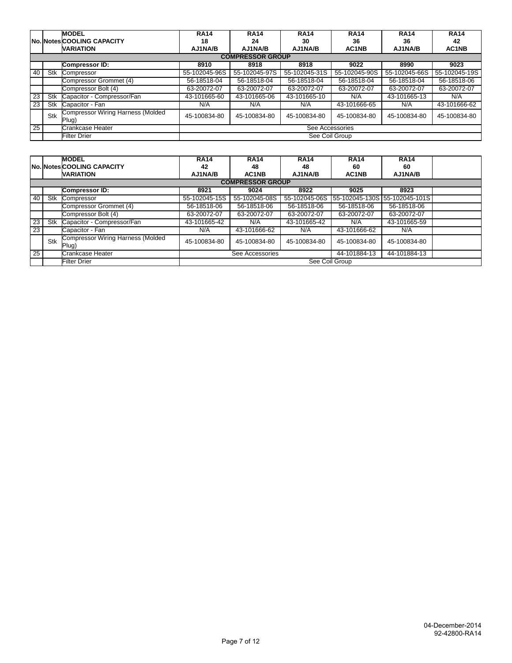|                 |     | <b>MODEL</b>                                      | <b>RA14</b>     | <b>RA14</b>             | <b>RA14</b>   | <b>RA14</b>   | <b>RA14</b>   | <b>RA14</b>   |  |  |
|-----------------|-----|---------------------------------------------------|-----------------|-------------------------|---------------|---------------|---------------|---------------|--|--|
|                 |     | <b>No. Notes COOLING CAPACITY</b>                 | 18              | 24                      | 30            | 36            | 36            | 42            |  |  |
|                 |     | <b>VARIATION</b>                                  | AJ1NA/B         | AJ1NA/B                 | AJ1NA/B       | AC1NB         | AJ1NA/B       | AC1NB         |  |  |
|                 |     |                                                   |                 | <b>COMPRESSOR GROUP</b> |               |               |               |               |  |  |
|                 |     | <b>Compressor ID:</b>                             | 8910            | 8918                    | 8918          | 9022          | 8990          | 9023          |  |  |
| 40              | Stk | Compressor                                        | 55-102045-96S   | 55-102045-97S           | 55-102045-31S | 55-102045-90S | 55-102045-66S | 55-102045-19S |  |  |
|                 |     | Compressor Grommet (4)                            | 56-18518-04     | 56-18518-04             | 56-18518-04   | 56-18518-04   | 56-18518-04   | 56-18518-06   |  |  |
|                 |     | Compressor Bolt (4)                               | 63-20072-07     | 63-20072-07             | 63-20072-07   | 63-20072-07   | 63-20072-07   | 63-20072-07   |  |  |
| 23              | Stk | Capacitor - Compressor/Fan                        | 43-101665-60    | 43-101665-06            | 43-101665-10  | N/A           | 43-101665-13  | N/A           |  |  |
| 23              | Stk | Capacitor - Fan                                   | N/A             | N/A                     | N/A           | 43-101666-65  | N/A           | 43-101666-62  |  |  |
|                 | Stk | <b>Compressor Wiring Harness (Molded</b><br>Plug) | 45-100834-80    | 45-100834-80            | 45-100834-80  | 45-100834-80  | 45-100834-80  | 45-100834-80  |  |  |
| $\overline{25}$ |     | Crankcase Heater                                  | See Accessories |                         |               |               |               |               |  |  |
|                 |     | <b>Filter Drier</b>                               |                 | See Coil Group          |               |               |               |               |  |  |

|                 |     | <b>MODEL</b>                                      | <b>RA14</b>                                     | <b>RA14</b>             | <b>RA14</b>   | <b>RA14</b>                   | <b>RA14</b>  |  |
|-----------------|-----|---------------------------------------------------|-------------------------------------------------|-------------------------|---------------|-------------------------------|--------------|--|
|                 |     | <b>No. Notes COOLING CAPACITY</b>                 | 42                                              | 48                      | 48            | 60                            | 60           |  |
|                 |     | <b>VARIATION</b>                                  | AJ1NA/B                                         | AC1NB                   | AJ1NA/B       | AC1NB                         | AJ1NA/B      |  |
|                 |     |                                                   |                                                 | <b>COMPRESSOR GROUP</b> |               |                               |              |  |
|                 |     | <b>Compressor ID:</b>                             | 8921                                            | 9024                    | 8922          | 9025                          | 8923         |  |
| 40              | Stk | Compressor                                        | 55-102045-15S                                   | 55-102045-08S           | 55-102045-06S | 55-102045-130S 55-102045-101S |              |  |
|                 |     | Compressor Grommet (4)                            | 56-18518-06                                     | 56-18518-06             | 56-18518-06   | 56-18518-06                   | 56-18518-06  |  |
|                 |     | Compressor Bolt (4)                               | 63-20072-07                                     | 63-20072-07             | 63-20072-07   | 63-20072-07                   | 63-20072-07  |  |
| 23              | Stk | Capacitor - Compressor/Fan                        | 43-101665-42                                    | N/A                     | 43-101665-42  | N/A                           | 43-101665-59 |  |
| 23 <sub>1</sub> |     | Capacitor - Fan                                   | N/A                                             | 43-101666-62            | N/A           | 43-101666-62                  | N/A          |  |
|                 | Stk | <b>Compressor Wiring Harness (Molded</b><br>Plug) | 45-100834-80                                    | 45-100834-80            | 45-100834-80  | 45-100834-80                  | 45-100834-80 |  |
| 25              |     | Crankcase Heater                                  | See Accessories<br>44-101884-13<br>44-101884-13 |                         |               |                               |              |  |
|                 |     | Filter Drier                                      | See Coil Group                                  |                         |               |                               |              |  |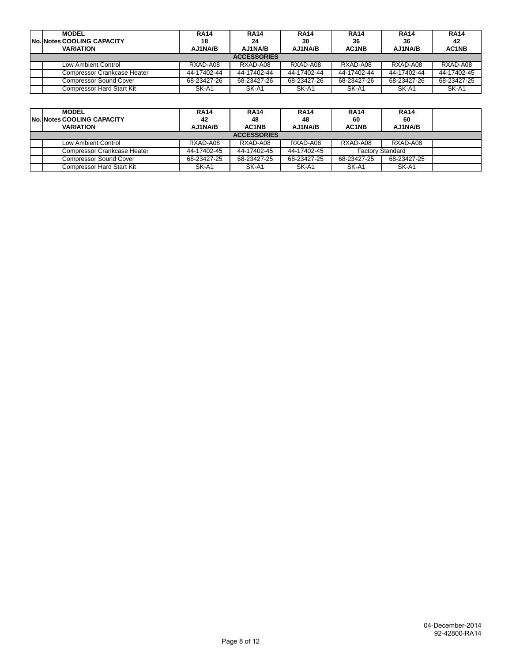|  | <b>MODEL</b><br><b>No. Notes COOLING CAPACITY</b><br><b>VARIATION</b> | <b>RA14</b><br>18<br>AJ1NA/B | <b>RA14</b><br>24<br>AJ1NA/B | <b>RA14</b><br>30<br>AJ1NA/B | <b>RA14</b><br>36<br>AC1NB | <b>RA14</b><br>36<br>AJ1NA/B | <b>RA14</b><br>42<br>AC1NB |
|--|-----------------------------------------------------------------------|------------------------------|------------------------------|------------------------------|----------------------------|------------------------------|----------------------------|
|  |                                                                       |                              | <b>ACCESSORIES</b>           |                              |                            |                              |                            |
|  | Low Ambient Control                                                   | RXAD-A08                     | RXAD-A08                     | RXAD-A08                     | RXAD-A08                   | RXAD-A08                     | RXAD-A08                   |
|  | Compressor Crankcase Heater                                           | 44-17402-44                  | 44-17402-44                  | 44-17402-44                  | 44-17402-44                | 44-17402-44                  | 44-17402-45                |
|  | <b>Compressor Sound Cover</b>                                         | 68-23427-26                  | 68-23427-26                  | 68-23427-26                  | 68-23427-26                | 68-23427-26                  | 68-23427-25                |
|  | Compressor Hard Start Kit                                             | SK-A1                        | SK-A1                        | SK-A1                        | SK-A1                      | SK-A1                        | SK-A1                      |

|  | <b>MODEL</b><br><b>No. Notes COOLING CAPACITY</b><br><b>VARIATION</b> | <b>RA14</b><br>42<br>AJ1NA/B | <b>RA14</b><br>48<br>AC1NB | <b>RA14</b><br>48<br>AJ1NA/B | <b>RA14</b><br>60<br>AC1NB | <b>RA14</b><br>60<br>AJ1NA/B |  |
|--|-----------------------------------------------------------------------|------------------------------|----------------------------|------------------------------|----------------------------|------------------------------|--|
|  |                                                                       |                              | <b>ACCESSORIES</b>         |                              |                            |                              |  |
|  | Low Ambient Control                                                   | RXAD-A08                     | RXAD-A08                   | RXAD-A08                     | RXAD-A08                   | RXAD-A08                     |  |
|  | Compressor Crankcase Heater                                           | 44-17402-45                  | 44-17402-45                | 44-17402-45                  |                            | <b>Factory Standard</b>      |  |
|  | Compressor Sound Cover                                                | 68-23427-25                  | 68-23427-25                | 68-23427-25                  | 68-23427-25                | 68-23427-25                  |  |
|  | Compressor Hard Start Kit                                             | SK-A1                        | SK-A1                      | SK-A1                        | SK-A1                      | SK-A1                        |  |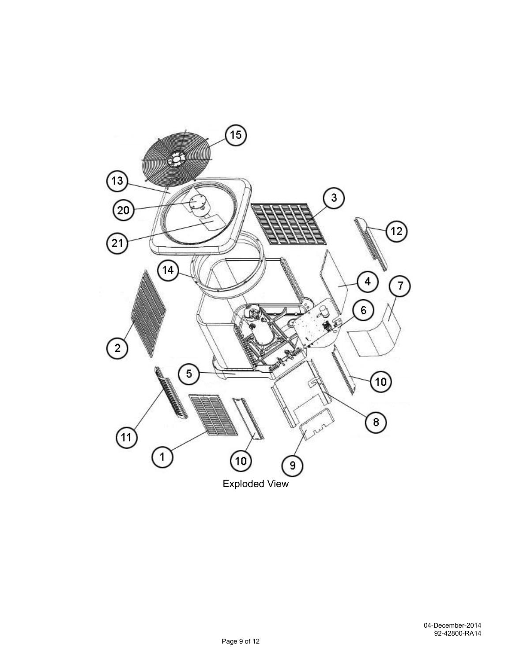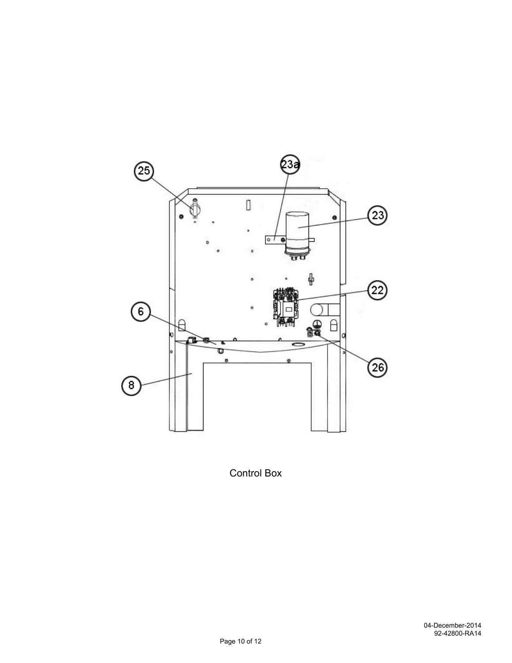

Control Box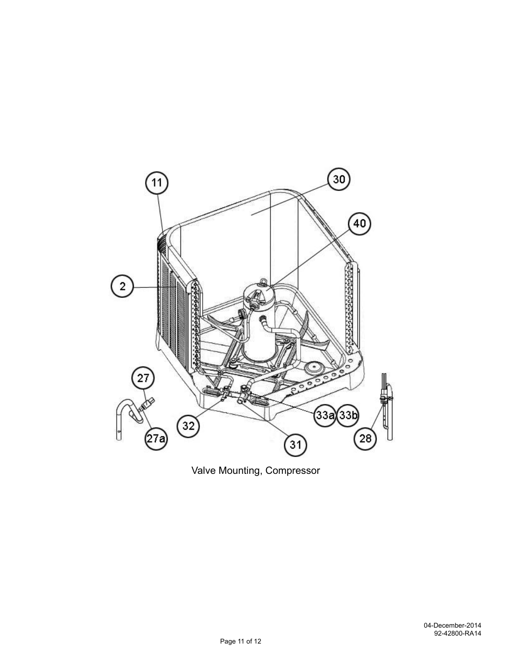

Valve Mounting, Compressor